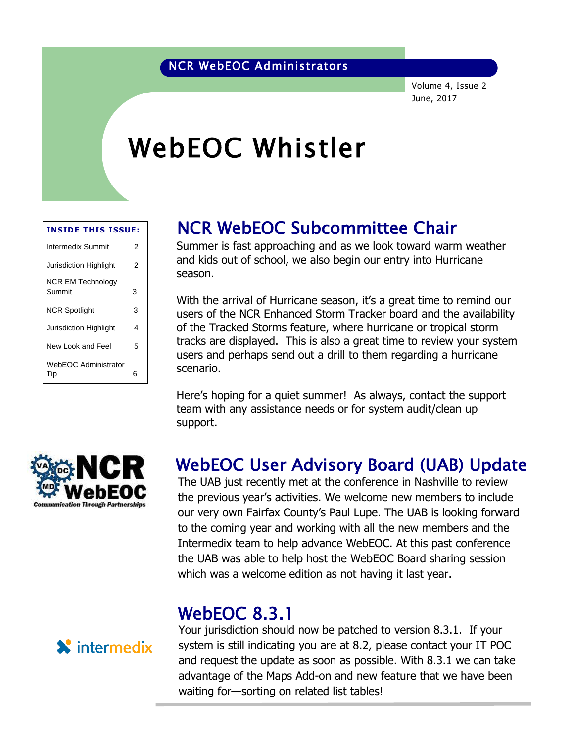#### NCR WebEOC Administrators

Volume 4, Issue 2 June, 2017

# WebEOC Whistler

| <b>INSIDE THIS ISSUE:</b>          |   |
|------------------------------------|---|
| Intermedix Summit                  | 2 |
| Jurisdiction Highlight             | 2 |
| <b>NCR EM Technology</b><br>Summit | 3 |
| <b>NCR Spotlight</b>               | 3 |
| Jurisdiction Highlight             | 4 |
| New Look and Feel                  | 5 |
| <b>WebEOC Administrator</b><br>Tip | 6 |

#### NCR WebEOC Subcommittee Chair

Summer is fast approaching and as we look toward warm weather Summer is rast approaching and as we look toward warnflived<br>and kids out of school, we also begin our entry into Hurricane season.

With the arrival of Hurricane season, it's a great time to remind our users of the NCR Enhanced Storm Tracker board and the availability of the Tracked Storms feature, where hurricane or tropical storm tracks are displayed. This is also a great time to review your system users and perhaps send out a drill to them regarding a hurricane scenario.

Here's hoping for a quiet summer! As always, contact the support team with any assistance needs or for system audit/clean up support.



#### WebEOC User Advisory Board (UAB) Update

The UAB just recently met at the conference in Nashville to review the previous year's activities. We welcome new members to include our very own Fairfax County's Paul Lupe. The UAB is looking forward to the coming year and working with all the new members and the Intermedix team to help advance WebEOC. At this past conference the UAB was able to help host the WebEOC Board sharing session which was a welcome edition as not having it last year.

#### WebEOC 8.3.1



Your jurisdiction should now be patched to version 8.3.1. If your system is still indicating you are at 8.2, please contact your IT POC and request the update as soon as possible. With 8.3.1 we can take advantage of the Maps Add-on and new feature that we have been waiting for—sorting on related list tables!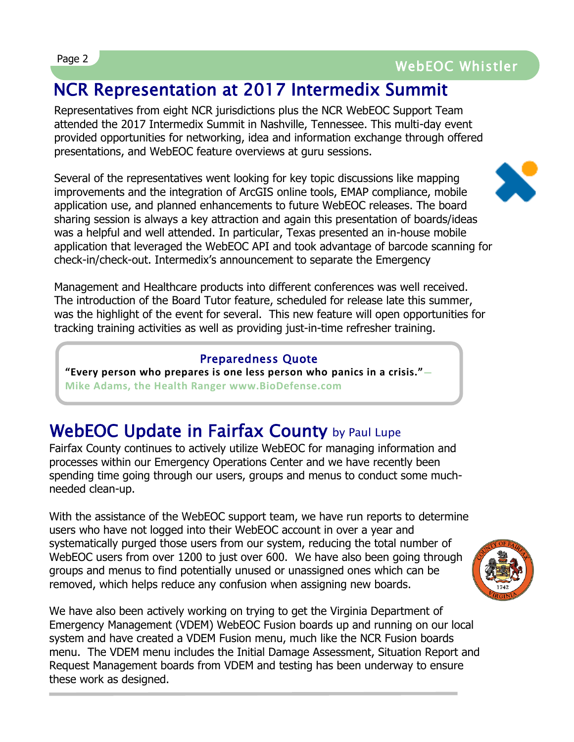### Page 2 WebEOC Whistler

### NCR Representation at 2017 Intermedix Summit

Representatives from eight NCR jurisdictions plus the NCR WebEOC Support Team attended the 2017 Intermedix Summit in Nashville, Tennessee. This multi-day event provided opportunities for networking, idea and information exchange through offered presentations, and WebEOC feature overviews at guru sessions.

Several of the representatives went looking for key topic discussions like mapping improvements and the integration of ArcGIS online tools, EMAP compliance, mobile application use, and planned enhancements to future WebEOC releases. The board sharing session is always a key attraction and again this presentation of boards/ideas was a helpful and well attended. In particular, Texas presented an in-house mobile application that leveraged the WebEOC API and took advantage of barcode scanning for check-in/check-out. Intermedix's announcement to separate the Emergency



Management and Healthcare products into different conferences was well received. The introduction of the Board Tutor feature, scheduled for release late this summer, was the highlight of the event for several. This new feature will open opportunities for tracking training activities as well as providing just-in-time refresher training.

#### Preparedness Quote

**"Every person who prepares is one less person who panics in a crisis."— Mike Adams, the Health Ranger www.BioDefense.com**

### WebEOC Update in Fairfax County by Paul Lupe

Fairfax County continues to actively utilize WebEOC for managing information and processes within our Emergency Operations Center and we have recently been spending time going through our users, groups and menus to conduct some muchneeded clean-up.

With the assistance of the WebEOC support team, we have run reports to determine users who have not logged into their WebEOC account in over a year and systematically purged those users from our system, reducing the total number of WebEOC users from over 1200 to just over 600. We have also been going through groups and menus to find potentially unused or unassigned ones which can be removed, which helps reduce any confusion when assigning new boards.



We have also been actively working on trying to get the Virginia Department of Emergency Management (VDEM) WebEOC Fusion boards up and running on our local system and have created a VDEM Fusion menu, much like the NCR Fusion boards menu. The VDEM menu includes the Initial Damage Assessment, Situation Report and Request Management boards from VDEM and testing has been underway to ensure these work as designed.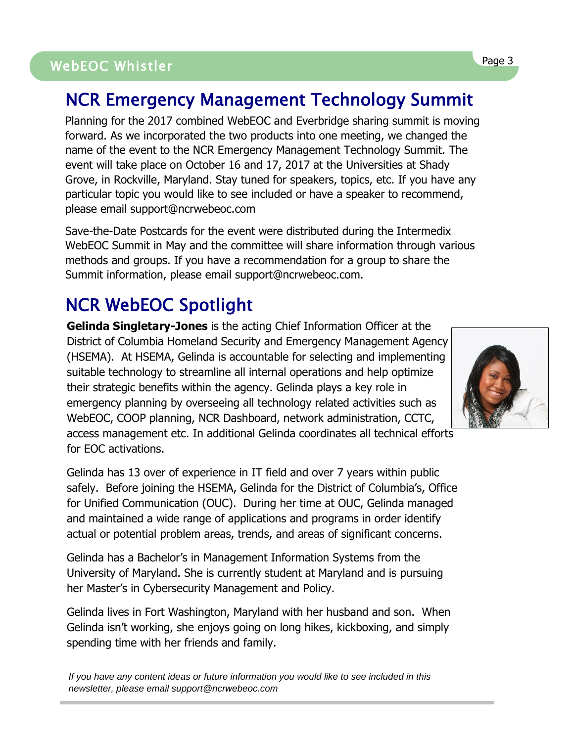# WebEOC Whistler Page 3 WebEOC Whistler

### NCR Emergency Management Technology Summit

Planning for the 2017 combined WebEOC and Everbridge sharing summit is moving forward. As we incorporated the two products into one meeting, we changed the name of the event to the NCR Emergency Management Technology Summit. The event will take place on October 16 and 17, 2017 at the Universities at Shady Grove, in Rockville, Maryland. Stay tuned for speakers, topics, etc. If you have any particular topic you would like to see included or have a speaker to recommend, please email support@ncrwebeoc.com

Save-the-Date Postcards for the event were distributed during the Intermedix WebEOC Summit in May and the committee will share information through various methods and groups. If you have a recommendation for a group to share the Summit information, please email support@ncrwebeoc.com.

### NCR WebEOC Spotlight

**Gelinda Singletary-Jones** is the acting Chief Information Officer at the District of Columbia Homeland Security and Emergency Management Agency (HSEMA). At HSEMA, Gelinda is accountable for selecting and implementing suitable technology to streamline all internal operations and help optimize their strategic benefits within the agency. Gelinda plays a key role in emergency planning by overseeing all technology related activities such as WebEOC, COOP planning, NCR Dashboard, network administration, CCTC, access management etc. In additional Gelinda coordinates all technical efforts for EOC activations.

Gelinda has 13 over of experience in IT field and over 7 years within public safely. Before joining the HSEMA, Gelinda for the District of Columbia's, Office for Unified Communication (OUC). During her time at OUC, Gelinda managed and maintained a wide range of applications and programs in order identify actual or potential problem areas, trends, and areas of significant concerns.

Gelinda has a Bachelor's in Management Information Systems from the University of Maryland. She is currently student at Maryland and is pursuing her Master's in Cybersecurity Management and Policy.

Gelinda lives in Fort Washington, Maryland with her husband and son. When Gelinda isn't working, she enjoys going on long hikes, kickboxing, and simply spending time with her friends and family.

*If you have any content ideas or future information you would like to see included in this newsletter, please email support@ncrwebeoc.com*

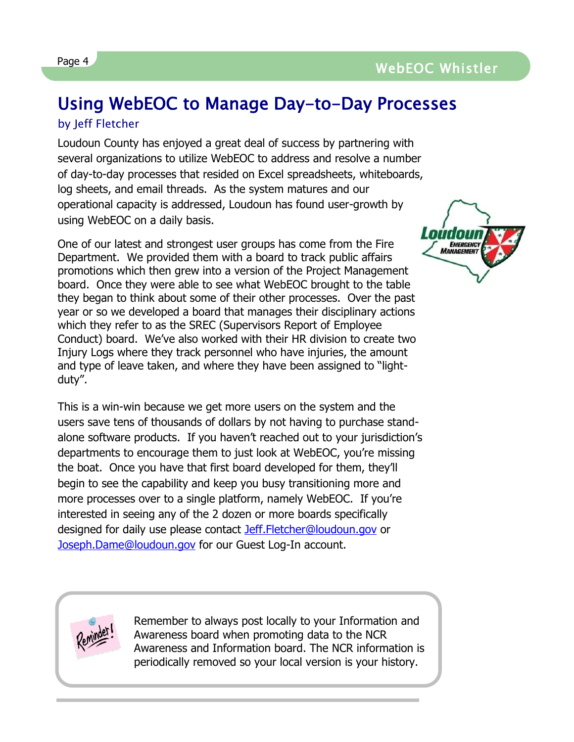## Using WebEOC to Manage Day-to-Day Processes

#### by Jeff Fletcher

Loudoun County has enjoyed a great deal of success by partnering with several organizations to utilize WebEOC to address and resolve a number of day-to-day processes that resided on Excel spreadsheets, whiteboards, log sheets, and email threads. As the system matures and our operational capacity is addressed, Loudoun has found user-growth by using WebEOC on a daily basis.

One of our latest and strongest user groups has come from the Fire Department. We provided them with a board to track public affairs promotions which then grew into a version of the Project Management board. Once they were able to see what WebEOC brought to the table they began to think about some of their other processes. Over the past year or so we developed a board that manages their disciplinary actions which they refer to as the SREC (Supervisors Report of Employee Conduct) board. We've also worked with their HR division to create two Injury Logs where they track personnel who have injuries, the amount and type of leave taken, and where they have been assigned to "lightduty".

This is a win-win because we get more users on the system and the users save tens of thousands of dollars by not having to purchase standalone software products. If you haven't reached out to your jurisdiction's departments to encourage them to just look at WebEOC, you're missing the boat. Once you have that first board developed for them, they'll begin to see the capability and keep you busy transitioning more and more processes over to a single platform, namely WebEOC. If you're interested in seeing any of the 2 dozen or more boards specifically designed for daily use please contact [Jeff.Fletcher@loudoun.gov](mailto:Jeff.Fletcher@loudoun.gov) or [Joseph.Dame@loudoun.gov](mailto:Joseph.Dame@loudoun.gov) for our Guest Log-In account.





Remember to always post locally to your Information and Awareness board when promoting data to the NCR Awareness and Information board. The NCR information is periodically removed so your local version is your history.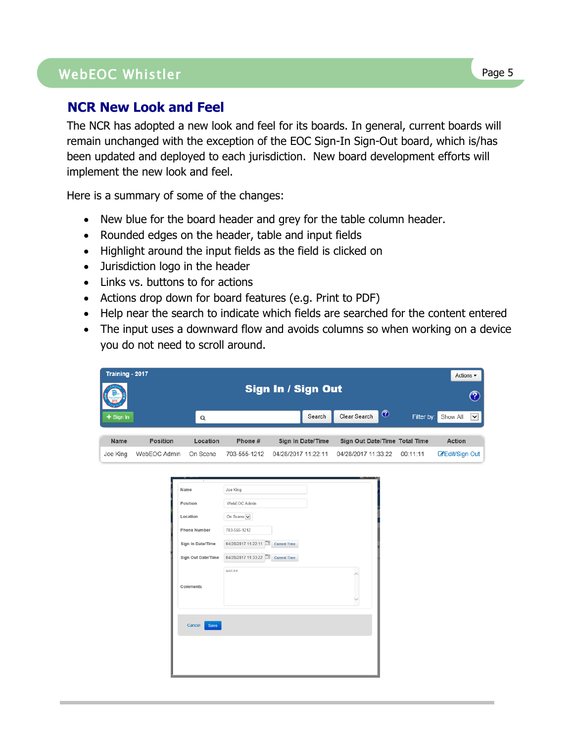#### WebEOC Whistler Page 5

#### **NCR New Look and Feel**

The NCR has adopted a new look and feel for its boards. In general, current boards will remain unchanged with the exception of the EOC Sign-In Sign-Out board, which is/has been updated and deployed to each jurisdiction. New board development efforts will implement the new look and feel.

Here is a summary of some of the changes:

- New blue for the board header and grey for the table column header.
- Rounded edges on the header, table and input fields
- Highlight around the input fields as the field is clicked on
- Jurisdiction logo in the header
- Links vs. buttons to for actions
- Actions drop down for board features (e.g. Print to PDF)
- Help near the search to indicate which fields are searched for the content entered
- The input uses a downward flow and avoids columns so when working on a device you do not need to scroll around.

| Training - 2017<br>Actions $\blacktriangledown$ |                    |                                                                                                                              |                                                                                                               |                                            |                                |            |                          |  |  |  |  |  |  |  |  |
|-------------------------------------------------|--------------------|------------------------------------------------------------------------------------------------------------------------------|---------------------------------------------------------------------------------------------------------------|--------------------------------------------|--------------------------------|------------|--------------------------|--|--|--|--|--|--|--|--|
|                                                 | Sign In / Sign Out |                                                                                                                              |                                                                                                               |                                            |                                |            |                          |  |  |  |  |  |  |  |  |
| $+$ Sign In                                     |                    | Q                                                                                                                            |                                                                                                               | Search                                     | $\circledcirc$<br>Clear Search | Filter by: | Show All<br>$\checkmark$ |  |  |  |  |  |  |  |  |
| Name                                            | Position           | Location                                                                                                                     | Phone #                                                                                                       | Sign In Date/Time                          | Sign Out Date/Time Total Time  |            | <b>Action</b>            |  |  |  |  |  |  |  |  |
| Joe King                                        | WebEOC Admin       | On Scene                                                                                                                     | 703-555-1212                                                                                                  | 04/28/2017 11:22:11                        | 04/28/2017 11:33:22            | 00:11:11   | <b>Z</b> Edit/Sign Out   |  |  |  |  |  |  |  |  |
|                                                 |                    | Name<br>Position<br>Location<br><b>Phone Number</b><br>Sign In Date/Time<br>Sign Out Date/Time<br>Comments<br>Cancel<br>Save | Joe King<br>WebEOC Admin<br>On Scene v<br>703-555-1212<br>04/28/2017 11:22:11<br>04/28/2017 11:33:22<br>notes | <b>Current Time</b><br><b>Current Time</b> | w                              |            |                          |  |  |  |  |  |  |  |  |